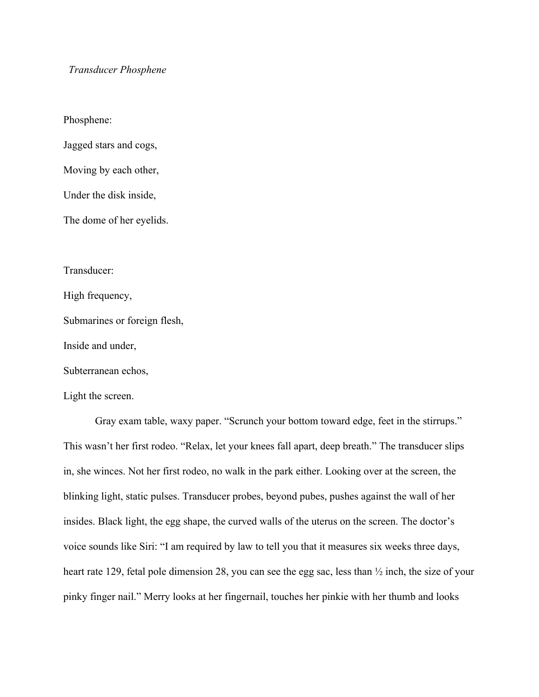## *Transducer Phosphene*

Phosphene:

Jagged stars and cogs,

Moving by each other,

Under the disk inside,

The dome of her eyelids.

Transducer:

High frequency,

Submarines or foreign flesh,

Inside and under,

Subterranean echos,

Light the screen.

Gray exam table, waxy paper. "Scrunch your bottom toward edge, feet in the stirrups." This wasn't her first rodeo. "Relax, let your knees fall apart, deep breath." The transducer slips in, she winces. Not her first rodeo, no walk in the park either. Looking over at the screen, the blinking light, static pulses. Transducer probes, beyond pubes, pushes against the wall of her insides. Black light, the egg shape, the curved walls of the uterus on the screen. The doctor's voice sounds like Siri: "I am required by law to tell you that it measures six weeks three days, heart rate 129, fetal pole dimension 28, you can see the egg sac, less than  $\frac{1}{2}$  inch, the size of your pinky finger nail." Merry looks at her fingernail, touches her pinkie with her thumb and looks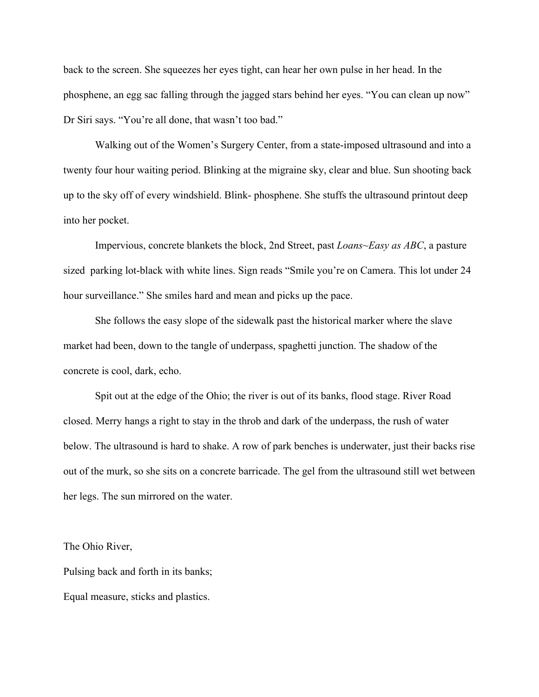back to the screen. She squeezes her eyes tight, can hear her own pulse in her head. In the phosphene, an egg sac falling through the jagged stars behind her eyes. "You can clean up now" Dr Siri says. "You're all done, that wasn't too bad."

Walking out of the Women's Surgery Center, from a state-imposed ultrasound and into a twenty four hour waiting period. Blinking at the migraine sky, clear and blue. Sun shooting back up to the sky off of every windshield. Blink- phosphene. She stuffs the ultrasound printout deep into her pocket.

Impervious, concrete blankets the block, 2nd Street, past *Loans~Easy as ABC*, a pasture sized parking lot-black with white lines. Sign reads "Smile you're on Camera. This lot under 24 hour surveillance." She smiles hard and mean and picks up the pace.

She follows the easy slope of the sidewalk past the historical marker where the slave market had been, down to the tangle of underpass, spaghetti junction. The shadow of the concrete is cool, dark, echo.

Spit out at the edge of the Ohio; the river is out of its banks, flood stage. River Road closed. Merry hangs a right to stay in the throb and dark of the underpass, the rush of water below. The ultrasound is hard to shake. A row of park benches is underwater, just their backs rise out of the murk, so she sits on a concrete barricade. The gel from the ultrasound still wet between her legs. The sun mirrored on the water.

The Ohio River,

Pulsing back and forth in its banks; Equal measure, sticks and plastics.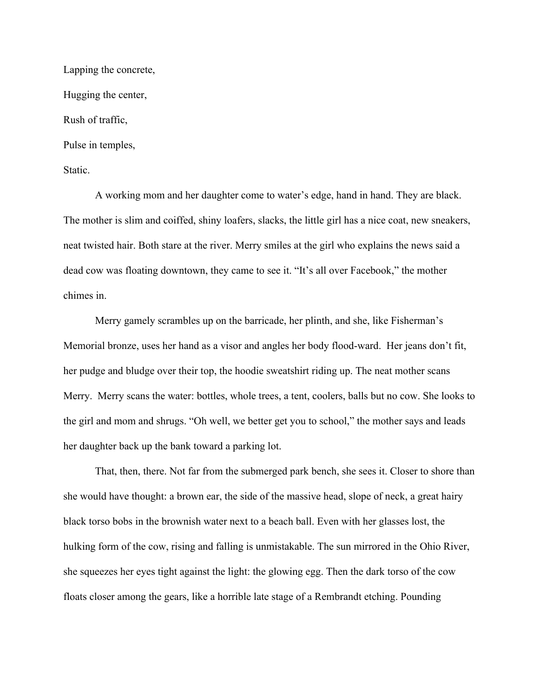Lapping the concrete, Hugging the center, Rush of traffic, Pulse in temples, Static.

A working mom and her daughter come to water's edge, hand in hand. They are black. The mother is slim and coiffed, shiny loafers, slacks, the little girl has a nice coat, new sneakers, neat twisted hair. Both stare at the river. Merry smiles at the girl who explains the news said a dead cow was floating downtown, they came to see it. "It's all over Facebook," the mother chimes in.

Merry gamely scrambles up on the barricade, her plinth, and she, like Fisherman's Memorial bronze, uses her hand as a visor and angles her body flood-ward. Her jeans don't fit, her pudge and bludge over their top, the hoodie sweatshirt riding up. The neat mother scans Merry. Merry scans the water: bottles, whole trees, a tent, coolers, balls but no cow. She looks to the girl and mom and shrugs. "Oh well, we better get you to school," the mother says and leads her daughter back up the bank toward a parking lot.

That, then, there. Not far from the submerged park bench, she sees it. Closer to shore than she would have thought: a brown ear, the side of the massive head, slope of neck, a great hairy black torso bobs in the brownish water next to a beach ball. Even with her glasses lost, the hulking form of the cow, rising and falling is unmistakable. The sun mirrored in the Ohio River, she squeezes her eyes tight against the light: the glowing egg. Then the dark torso of the cow floats closer among the gears, like a horrible late stage of a Rembrandt etching. Pounding